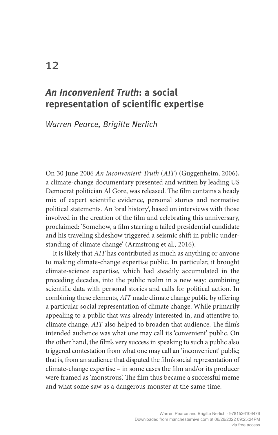# *An Inconvenient Truth***: a social representation of scientific expertise**

*Warren Pearce, Brigitte Nerlich*

On 30 June 2006 *An Inconvenient Truth* (*AIT*) (Guggenheim, 2006), a climate-change documentary presented and written by leading US Democrat politician Al Gore, was released. The film contains a heady mix of expert scientific evidence, personal stories and normative political statements. An 'oral history', based on interviews with those involved in the creation of the film and celebrating this anniversary, proclaimed: 'Somehow, a film starring a failed presidential candidate and his traveling slideshow triggered a seismic shift in public understanding of climate change' (Armstrong et al., 2016).

It is likely that *AIT* has contributed as much as anything or anyone to making climate-change expertise public. In particular, it brought climate-science expertise, which had steadily accumulated in the preceding decades, into the public realm in a new way: combining scientific data with personal stories and calls for political action. In combining these elements, *AIT* made climate change public by offering a particular social representation of climate change. While primarily appealing to a public that was already interested in, and attentive to, climate change, *AIT* also helped to broaden that audience. The film's intended audience was what one may call its 'convenient' public. On the other hand, the film's very success in speaking to such a public also triggered contestation from what one may call an 'inconvenient' public; that is, from an audience that disputed the film's social representation of climate-change expertise – in some cases the film and/or its producer were framed as 'monstrous'. The film thus became a successful meme and what some saw as a dangerous monster at the same time.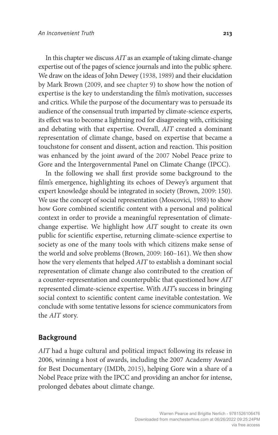In this chapter we discuss *AIT* as an example of taking climate-change expertise out of the pages of science journals and into the public sphere. We draw on the ideas of John Dewey (1938, 1989) and their elucidation by Mark Brown (2009, and see chapter 9) to show how the notion of expertise is the key to understanding the film's motivation, successes and critics. While the purpose of the documentary was to persuade its audience of the consensual truth imparted by climate-science experts, its effect was to become a lightning rod for disagreeing with, criticising and debating with that expertise. Overall, *AIT* created a dominant representation of climate change, based on expertise that became a touchstone for consent and dissent, action and reaction. This position was enhanced by the joint award of the 2007 Nobel Peace prize to Gore and the Intergovernmental Panel on Climate Change (IPCC).

In the following we shall first provide some background to the film's emergence, highlighting its echoes of Dewey's argument that expert knowledge should be integrated in society (Brown, 2009: 150). We use the concept of social representation (Moscovici, 1988) to show how Gore combined scientific content with a personal and political context in order to provide a meaningful representation of climatechange expertise. We highlight how *AIT* sought to create its own public for scientific expertise, returning climate-science expertise to society as one of the many tools with which citizens make sense of the world and solve problems (Brown, 2009: 160–161). We then show how the very elements that helped *AIT* to establish a dominant social representation of climate change also contributed to the creation of a counter-representation and counterpublic that questioned how *AIT* represented climate-science expertise. With *AIT*'s success in bringing social context to scientific content came inevitable contestation. We conclude with some tentative lessons for science communicators from the *AIT* story.

# **Background**

*AIT* had a huge cultural and political impact following its release in 2006, winning a host of awards, including the 2007 Academy Award for Best Documentary (IMDb, 2015), helping Gore win a share of a Nobel Peace prize with the IPCC and providing an anchor for intense, prolonged debates about climate change.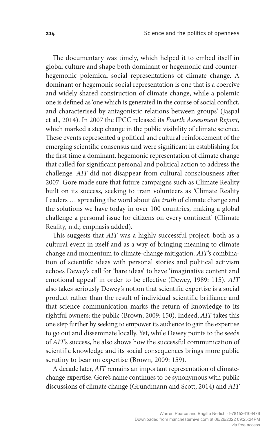The documentary was timely, which helped it to embed itself in global culture and shape both dominant or hegemonic and counterhegemonic polemical social representations of climate change. A dominant or hegemonic social representation is one that is a coercive and widely shared construction of climate change, while a polemic one is defined as 'one which is generated in the course of social conflict, and characterised by antagonistic relations between groups' (Jaspal et al., 2014). In 2007 the IPCC released its *Fourth Assessment Report*, which marked a step change in the public visibility of climate science. These events represented a political and cultural reinforcement of the emerging scientific consensus and were significant in establishing for the first time a dominant, hegemonic representation of climate change that called for significant personal and political action to address the challenge. *AIT* did not disappear from cultural consciousness after 2007. Gore made sure that future campaigns such as Climate Reality built on its success, seeking to train volunteers as 'Climate Reality Leaders … spreading the word about *the truth* of climate change and the solutions we have today in over 100 countries, making a global challenge a personal issue for citizens on every continent' (Climate Reality, n.d.; emphasis added).

This suggests that *AIT* was a highly successful project, both as a cultural event in itself and as a way of bringing meaning to climate change and momentum to climate-change mitigation. *AIT*'s combination of scientific ideas with personal stories and political activism echoes Dewey's call for 'bare ideas' to have 'imaginative content and emotional appeal' in order to be effective (Dewey, 1989: 115). *AIT* also takes seriously Dewey's notion that scientific expertise is a social product rather than the result of individual scientific brilliance and that science communication marks the return of knowledge to its rightful owners: the public (Brown, 2009: 150). Indeed, *AIT* takes this one step further by seeking to empower its audience to gain the expertise to go out and disseminate locally. Yet, while Dewey points to the seeds of *AIT*'s success, he also shows how the successful communication of scientific knowledge and its social consequences brings more public scrutiny to bear on expertise (Brown, 2009: 159).

A decade later, *AIT* remains an important representation of climatechange expertise. Gore's name continues to be synonymous with public discussions of climate change (Grundmann and Scott, 2014) and *AIT*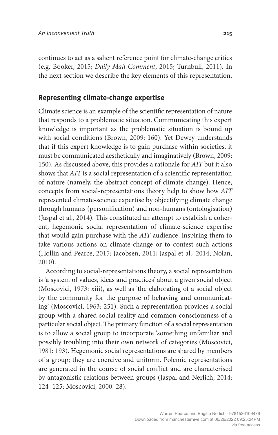continues to act as a salient reference point for climate-change critics (e.g. Booker, 2015; *Daily Mail Comment*, 2015; Turnbull, 2011). In the next section we describe the key elements of this representation.

# **Representing climate-change expertise**

Climate science is an example of the scientific representation of nature that responds to a problematic situation. Communicating this expert knowledge is important as the problematic situation is bound up with social conditions (Brown, 2009: 160). Yet Dewey understands that if this expert knowledge is to gain purchase within societies, it must be communicated aesthetically and imaginatively (Brown, 2009: 150). As discussed above, this provides a rationale for *AIT* but it also shows that *AIT* is a social representation of a scientific representation of nature (namely, the abstract concept of climate change). Hence, concepts from social-representations theory help to show how *AIT* represented climate-science expertise by objectifying climate change through humans (personification) and non-humans (ontologisation) (Jaspal et al., 2014). This constituted an attempt to establish a coherent, hegemonic social representation of climate-science expertise that would gain purchase with the *AIT* audience, inspiring them to take various actions on climate change or to contest such actions (Hollin and Pearce, 2015; Jacobsen, 2011; Jaspal et al., 2014; Nolan, 2010).

According to social-representations theory, a social representation is 'a system of values, ideas and practices' about a given social object (Moscovici, 1973: xiii), as well as 'the elaborating of a social object by the community for the purpose of behaving and communicating' (Moscovici, 1963: 251). Such a representation provides a social group with a shared social reality and common consciousness of a particular social object. The primary function of a social representation is to allow a social group to incorporate 'something unfamiliar and possibly troubling into their own network of categories (Moscovici, 1981: 193). Hegemonic social representations are shared by members of a group; they are coercive and uniform. Polemic representations are generated in the course of social conflict and are characterised by antagonistic relations between groups (Jaspal and Nerlich, 2014: 124–125; Moscovici, 2000: 28).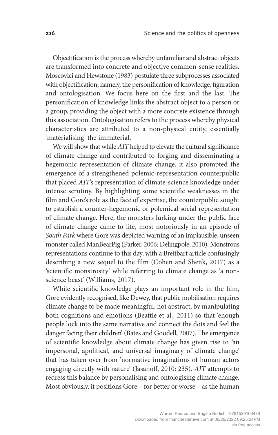Objectification is the process whereby unfamiliar and abstract objects are transformed into concrete and objective common-sense realities. Moscovici and Hewstone (1983) postulate three subprocesses associated with objectification; namely, the personification of knowledge, figuration and ontologisation. We focus here on the first and the last. The personification of knowledge links the abstract object to a person or a group, providing the object with a more concrete existence through this association. Ontologisation refers to the process whereby physical characteristics are attributed to a non-physical entity, essentially 'materialising' the immaterial.

We will show that while *AIT* helped to elevate the cultural significance of climate change and contributed to forging and disseminating a hegemonic representation of climate change, it also prompted the emergence of a strengthened polemic-representation counterpublic that placed *AIT*'s representation of climate-science knowledge under intense scrutiny. By highlighting some scientific weaknesses in the film and Gore's role as the face of expertise, the counterpublic sought to establish a counter-hegemonic or polemical social representation of climate change. Here, the monsters lurking under the public face of climate change came to life, most notoriously in an episode of *South Park* where Gore was depicted warning of an implausible, unseen monster called ManBearPig (Parker, 2006; Delingpole, 2010). Monstrous representations continue to this day, with a Breitbart article confusingly describing a new sequel to the film (Cohen and Shenk, 2017) as a 'scientific monstrosity' while referring to climate change as 'a nonscience beast' (Williams, 2017).

While scientific knowledge plays an important role in the film, Gore evidently recognised, like Dewey, that public mobilisation requires climate change to be made meaningful, not abstract, by manipulating both cognitions and emotions (Beattie et al., 2011) so that 'enough people lock into the same narrative and connect the dots and feel the danger facing their children' (Bates and Goodell, 2007). The emergence of scientific knowledge about climate change has given rise to 'an impersonal, apolitical, and universal imaginary of climate change' that has taken over from 'normative imaginations of human actors engaging directly with nature' (Jasanoff, 2010: 235). *AIT* attempts to redress this balance by personalising and ontologising climate change. Most obviously, it positions Gore – for better or worse – as the human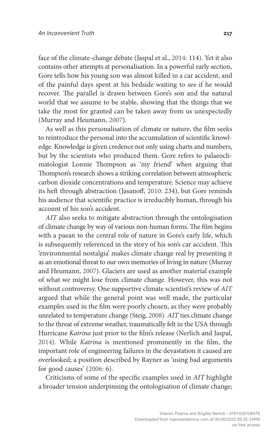face of the climate-change debate (Jaspal et al., 2014: 114). Yet it also contains other attempts at personalisation. In a powerful early section, Gore tells how his young son was almost killed in a car accident, and of the painful days spent at his bedside waiting to see if he would recover. The parallel is drawn between Gore's son and the natural world that we assume to be stable, showing that the things that we take the most for granted can be taken away from us unexpectedly (Murray and Heumann, 2007).

As well as this personalisation of climate or nature, the film seeks to reintroduce the personal into the accumulation of scientific knowledge. Knowledge is given credence not only using charts and numbers, but by the scientists who produced them. Gore refers to palaeoclimatologist Lonnie Thompson as 'my friend' when arguing that Thompson's research shows a striking correlation between atmospheric carbon dioxide concentrations and temperature. Science may achieve its heft through abstraction (Jasanoff, 2010: 234), but Gore reminds his audience that scientific practice is irreducibly human, through his account of his son's accident.

*AIT* also seeks to mitigate abstraction through the ontologisation of climate change by way of various non-human forms. The film begins with a paean to the central role of nature in Gore's early life, which is subsequently referenced in the story of his son's car accident. This 'environmental nostalgia' makes climate change real by presenting it as an emotional threat to our own memories of living in nature (Murray and Heumann, 2007). Glaciers are used as another material example of what we might lose from climate change. However, this was not without controversy. One supportive climate scientist's review of *AIT* argued that while the general point was well made, the particular examples used in the film were poorly chosen, as they were probably unrelated to temperature change (Steig, 2008). *AIT* ties climate change to the threat of extreme weather, traumatically felt in the USA through Hurricane *Katrina* just prior to the film's release (Nerlich and Jaspal, 2014). While *Katrina* is mentioned prominently in the film, the important role of engineering failures in the devastation it caused are overlooked; a position described by Rayner as 'using bad arguments for good causes' (2006: 6).

Criticisms of some of the specific examples used in *AIT* highlight a broader tension underpinning the ontologisation of climate change;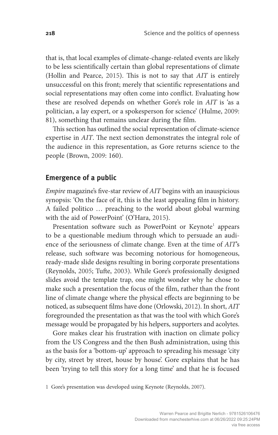that is, that local examples of climate-change-related events are likely to be less scientifically certain than global representations of climate (Hollin and Pearce, 2015). This is not to say that *AIT* is entirely unsuccessful on this front; merely that scientific representations and social representations may often come into conflict. Evaluating how these are resolved depends on whether Gore's role in *AIT* is 'as a politician, a lay expert, or a spokesperson for science' (Hulme, 2009: 81), something that remains unclear during the film.

This section has outlined the social representation of climate-science expertise in *AIT*. The next section demonstrates the integral role of the audience in this representation, as Gore returns science to the people (Brown, 2009: 160).

#### **Emergence of a public**

*Empire* magazine's five-star review of *AIT* begins with an inauspicious synopsis: 'On the face of it, this is the least appealing film in history. A failed politico … preaching to the world about global warming with the aid of PowerPoint' (O'Hara, 2015).

Presentation software such as PowerPoint or Keynote<sup>1</sup> appears to be a questionable medium through which to persuade an audience of the seriousness of climate change. Even at the time of *AIT*'s release, such software was becoming notorious for homogeneous, ready-made slide designs resulting in boring corporate presentations (Reynolds, 2005; Tufte, 2003). While Gore's professionally designed slides avoid the template trap, one might wonder why he chose to make such a presentation the focus of the film, rather than the front line of climate change where the physical effects are beginning to be noticed, as subsequent films have done (Orlowski, 2012). In short, *AIT* foregrounded the presentation as that was the tool with which Gore's message would be propagated by his helpers, supporters and acolytes.

Gore makes clear his frustration with inaction on climate policy from the US Congress and the then Bush administration, using this as the basis for a 'bottom-up' approach to spreading his message 'city by city, street by street, house by house'. Gore explains that he has been 'trying to tell this story for a long time' and that he is focused

<sup>1</sup> Gore's presentation was developed using Keynote (Reynolds, 2007).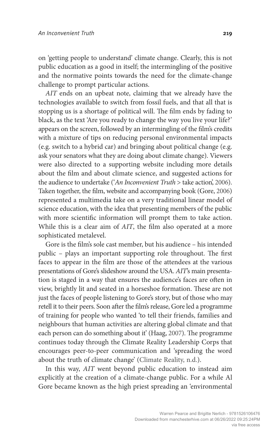on 'getting people to understand' climate change. Clearly, this is not public education as a good in itself; the intermingling of the positive and the normative points towards the need for the climate-change challenge to prompt particular actions.

*AIT* ends on an upbeat note, claiming that we already have the technologies available to switch from fossil fuels, and that all that is stopping us is a shortage of political will. The film ends by fading to black, as the text 'Are you ready to change the way you live your life?' appears on the screen, followed by an intermingling of the film's credits with a mixture of tips on reducing personal environmental impacts (e.g. switch to a hybrid car) and bringing about political change (e.g. ask your senators what they are doing about climate change). Viewers were also directed to a supporting website including more details about the film and about climate science, and suggested actions for the audience to undertake ('*An Inconvenient Truth* > take action', 2006). Taken together, the film, website and accompanying book (Gore, 2006) represented a multimedia take on a very traditional linear model of science education, with the idea that presenting members of the public with more scientific information will prompt them to take action. While this is a clear aim of *AIT*, the film also operated at a more sophisticated metalevel.

Gore is the film's sole cast member, but his audience – his intended public – plays an important supporting role throughout. The first faces to appear in the film are those of the attendees at the various presentations of Gore's slideshow around the USA. *AIT*'s main presentation is staged in a way that ensures the audience's faces are often in view, brightly lit and seated in a horseshoe formation. These are not just the faces of people listening to Gore's story, but of those who may retell it to their peers. Soon after the film's release, Gore led a programme of training for people who wanted 'to tell their friends, families and neighbours that human activities are altering global climate and that each person can do something about it' (Haag, 2007). The programme continues today through the Climate Reality Leadership Corps that encourages peer-to-peer communication and 'spreading the word about the truth of climate change' (Climate Reality, n.d.).

In this way, *AIT* went beyond public education to instead aim explicitly at the creation of a climate-change public. For a while Al Gore became known as the high priest spreading an 'environmental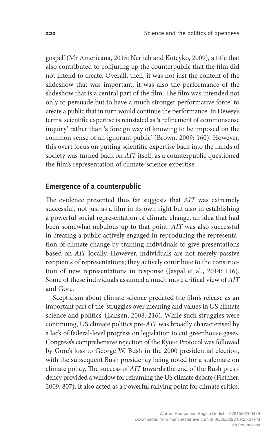gospel' (Mr Americana, 2015; Nerlich and Koteyko, 2009), a title that also contributed to conjuring up the counterpublic that the film did not intend to create. Overall, then, it was not just the content of the slideshow that was important, it was also the performance of the slideshow that is a central part of the film. The film was intended not only to persuade but to have a much stronger performative force: to create a public that in turn would continue the performance. In Dewey's terms, scientific expertise is reinstated as 'a refinement of commonsense inquiry' rather than 'a foreign way of knowing to be imposed on the common sense of an ignorant public' (Brown, 2009: 160). However, this overt focus on putting scientific expertise back into the hands of society was turned back on *AIT* itself, as a counterpublic questioned the film's representation of climate-science expertise.

# **Emergence of a counterpublic**

The evidence presented thus far suggests that *AIT* was extremely successful, not just as a film in its own right but also in establishing a powerful social representation of climate change, an idea that had been somewhat nebulous up to that point. *AIT* was also successful in creating a public actively engaged in reproducing the representation of climate change by training individuals to give presentations based on *AIT* locally. However, individuals are not merely passive recipients of representations; they actively contribute to the construction of new representations in response (Jaspal et al., 2014: 116). Some of these individuals assumed a much more critical view of *AIT* and Gore.

Scepticism about climate science predated the film's release as an important part of the 'struggles over meaning and values in US climate science and politics' (Lahsen, 2008: 216). While such struggles were continuing, US climate politics pre-*AIT* was broadly characterised by a lack of federal-level progress on legislation to cut greenhouse gases. Congress's comprehensive rejection of the Kyoto Protocol was followed by Gore's loss to George W. Bush in the 2000 presidential election, with the subsequent Bush presidency being noted for a stalemate on climate policy. The success of *AIT* towards the end of the Bush presidency provided a window for reframing the US climate debate (Fletcher, 2009: 807). It also acted as a powerful rallying point for climate critics,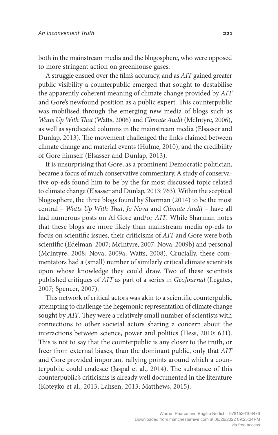both in the mainstream media and the blogosphere, who were opposed to more stringent action on greenhouse gases.

A struggle ensued over the film's accuracy, and as *AIT* gained greater public visibility a counterpublic emerged that sought to destabilise the apparently coherent meaning of climate change provided by *AIT* and Gore's newfound position as a public expert. This counterpublic was mobilised through the emerging new media of blogs such as *Watts Up With That* (Watts, 2006) and *Climate Audit* (McIntyre, 2006), as well as syndicated columns in the mainstream media (Elsasser and Dunlap, 2013). The movement challenged the links claimed between climate change and material events (Hulme, 2010), and the credibility of Gore himself (Elsasser and Dunlap, 2013).

It is unsurprising that Gore, as a prominent Democratic politician, became a focus of much conservative commentary. A study of conservative op-eds found him to be by the far most discussed topic related to climate change (Elsasser and Dunlap, 2013: 763). Within the sceptical blogosphere, the three blogs found by Sharman (2014) to be the most central – *Watts Up With That*, *Jo Nova* and *Climate Audit* – have all had numerous posts on Al Gore and/or *AIT*. While Sharman notes that these blogs are more likely than mainstream media op-eds to focus on scientific issues, their criticisms of *AIT* and Gore were both scientific (Edelman, 2007; McIntyre, 2007; Nova, 2009b) and personal (McIntyre, 2008; Nova, 2009a; Watts, 2008). Crucially, these commentators had a (small) number of similarly critical climate scientists upon whose knowledge they could draw. Two of these scientists published critiques of *AIT* as part of a series in *GeoJournal* (Legates, 2007; Spencer, 2007).

This network of critical actors was akin to a scientific counterpublic attempting to challenge the hegemonic representation of climate change sought by *AIT*. They were a relatively small number of scientists with connections to other societal actors sharing a concern about the interactions between science, power and politics (Hess, 2010: 631). This is not to say that the counterpublic is any closer to the truth, or freer from external biases, than the dominant public, only that *AIT* and Gore provided important rallying points around which a counterpublic could coalesce (Jaspal et al., 2014). The substance of this counterpublic's criticisms is already well documented in the literature (Koteyko et al., 2013; Lahsen, 2013; Matthews, 2015).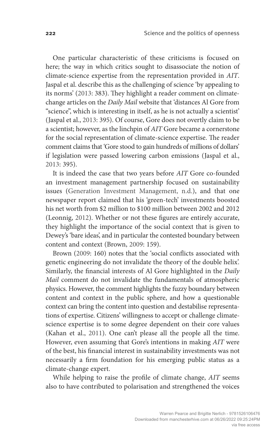One particular characteristic of these criticisms is focused on here; the way in which critics sought to disassociate the notion of climate-science expertise from the representation provided in *AIT*. Jaspal et al. describe this as the challenging of science 'by appealing to its norms' (2013: 383). They highlight a reader comment on climatechange articles on the *Daily Mail* website that 'distances Al Gore from "science", which is interesting in itself, as he is not actually a scientist' (Jaspal et al., 2013: 395). Of course, Gore does not overtly claim to be a scientist; however, as the linchpin of *AIT* Gore became a cornerstone for the social representation of climate-science expertise. The reader comment claims that 'Gore stood to gain hundreds of millions of dollars' if legislation were passed lowering carbon emissions (Jaspal et al., 2013: 395).

It is indeed the case that two years before *AIT* Gore co-founded an investment management partnership focused on sustainability issues (Generation Investment Management, n.d.), and that one newspaper report claimed that his 'green-tech' investments boosted his net worth from \$2 million to \$100 million between 2002 and 2012 (Leonnig, 2012). Whether or not these figures are entirely accurate, they highlight the importance of the social context that is given to Dewey's 'bare ideas', and in particular the contested boundary between content and context (Brown, 2009: 159).

Brown (2009: 160) notes that the 'social conflicts associated with genetic engineering do not invalidate the theory of the double helix'. Similarly, the financial interests of Al Gore highlighted in the *Daily Mail* comment do not invalidate the fundamentals of atmospheric physics. However, the comment highlights the fuzzy boundary between content and context in the public sphere, and how a questionable context can bring the content into question and destabilise representations of expertise. Citizens' willingness to accept or challenge climatescience expertise is to some degree dependent on their core values (Kahan et al., 2011). One can't please all the people all the time. However, even assuming that Gore's intentions in making *AIT* were of the best, his financial interest in sustainability investments was not necessarily a firm foundation for his emerging public status as a climate-change expert.

While helping to raise the profile of climate change, *AIT* seems also to have contributed to polarisation and strengthened the voices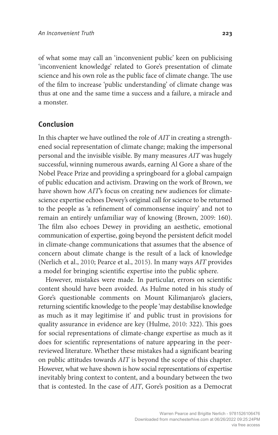of what some may call an 'inconvenient public' keen on publicising 'inconvenient knowledge' related to Gore's presentation of climate science and his own role as the public face of climate change. The use of the film to increase 'public understanding' of climate change was thus at one and the same time a success and a failure, a miracle and a monster.

# **Conclusion**

In this chapter we have outlined the role of *AIT* in creating a strengthened social representation of climate change; making the impersonal personal and the invisible visible. By many measures *AIT* was hugely successful, winning numerous awards, earning Al Gore a share of the Nobel Peace Prize and providing a springboard for a global campaign of public education and activism. Drawing on the work of Brown, we have shown how *AIT*'s focus on creating new audiences for climatescience expertise echoes Dewey's original call for science to be returned to the people as 'a refinement of commonsense inquiry' and not to remain an entirely unfamiliar way of knowing (Brown, 2009: 160). The film also echoes Dewey in providing an aesthetic, emotional communication of expertise, going beyond the persistent deficit model in climate-change communications that assumes that the absence of concern about climate change is the result of a lack of knowledge (Nerlich et al., 2010; Pearce et al., 2015). In many ways *AIT* provides a model for bringing scientific expertise into the public sphere.

However, mistakes were made. In particular, errors on scientific content should have been avoided. As Hulme noted in his study of Gore's questionable comments on Mount Kilimanjaro's glaciers, returning scientific knowledge to the people 'may destabilise knowledge as much as it may legitimise it' and public trust in provisions for quality assurance in evidence are key (Hulme, 2010: 322). This goes for social representations of climate-change expertise as much as it does for scientific representations of nature appearing in the peerreviewed literature. Whether these mistakes had a significant bearing on public attitudes towards *AIT* is beyond the scope of this chapter. However, what we have shown is how social representations of expertise inevitably bring context to content, and a boundary between the two that is contested. In the case of *AIT*, Gore's position as a Democrat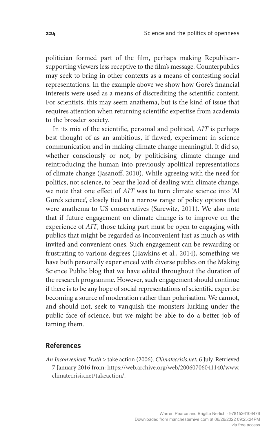politician formed part of the film, perhaps making Republicansupporting viewers less receptive to the film's message. Counterpublics may seek to bring in other contexts as a means of contesting social representations. In the example above we show how Gore's financial interests were used as a means of discrediting the scientific content. For scientists, this may seem anathema, but is the kind of issue that requires attention when returning scientific expertise from academia to the broader society.

In its mix of the scientific, personal and political, *AIT* is perhaps best thought of as an ambitious, if flawed, experiment in science communication and in making climate change meaningful. It did so, whether consciously or not, by politicising climate change and reintroducing the human into previously apolitical representations of climate change (Jasanoff, 2010). While agreeing with the need for politics, not science, to bear the load of dealing with climate change, we note that one effect of *AIT* was to turn climate science into 'Al Gore's science', closely tied to a narrow range of policy options that were anathema to US conservatives (Sarewitz, 2011). We also note that if future engagement on climate change is to improve on the experience of *AIT*, those taking part must be open to engaging with publics that might be regarded as inconvenient just as much as with invited and convenient ones. Such engagement can be rewarding or frustrating to various degrees (Hawkins et al., 2014), something we have both personally experienced with diverse publics on the Making Science Public blog that we have edited throughout the duration of the research programme. However, such engagement should continue if there is to be any hope of social representations of scientific expertise becoming a source of moderation rather than polarisation. We cannot, and should not, seek to vanquish the monsters lurking under the public face of science, but we might be able to do a better job of taming them.

## **References**

*An Inconvenient Truth* > take action (2006). *Climatecrisis.net*, 6 July. Retrieved 7 January 2016 from: https://web.archive.org/web/20060706041140/www. climatecrisis.net/takeaction/.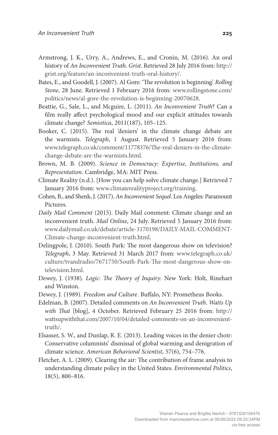- Armstrong, J. K., Urry, A., Andrews, E., and Cronin, M. (2016). An oral history of *An Inconvenient Truth*. *Grist*. Retrieved 28 July 2016 from: http:// grist.org/feature/an-inconvenient-truth-oral-history/.
- Bates, E., and Goodell, J. (2007). Al Gore: 'The revolution is beginning'. *Rolling Stone*, 28 June. Retrieved 1 February 2016 from: www.rollingstone.com/ politics/news/al-gore-the-revolution-is-beginning-20070628.
- Beattie, G., Sale, L., and Mcguire, L. (2011). *An Inconvenient Truth*? Can a film really affect psychological mood and our explicit attitudes towards climate change? *Semiotica*, 2011(187), 105–125.
- Booker, C. (2015). The real 'deniers' in the climate change debate are the warmists. *Telegraph*, 1 August. Retrieved 5 January 2016 from: www.telegraph.co.uk/comment/11778376/The-real-deniers-in-the-climatechange-debate-are-the-warmists.html.
- Brown, M. B. (2009). *Science in Democracy: Expertise, Institutions, and Representation*. Cambridge, MA: MIT Press.
- Climate Reality (n.d.). [How you can help solve climate change.] Retrieved 7 January 2016 from: www.climaterealityproject.org/training.
- Cohen, B., and Shenk, J. (2017). *An Inconvenient Sequel*. Los Angeles: Paramount Pictures.
- *Daily Mail Comment* (2015). Daily Mail comment: Climate change and an inconvenient truth. *Mail Online*, 24 July. Retrieved 5 January 2016 from: www.dailymail.co.uk/debate/article-3170198/DAILY-MAIL-COMMENT-Climate-change-inconvenient-truth.html.
- Delingpole, J. (2010). South Park: The most dangerous show on television? *Telegraph*, 3 May. Retrieved 31 March 2017 from: www.telegraph.co.uk/ culture/tvandradio/7671750/South-Park-The-most-dangerous-show-ontelevision.html.
- Dewey, J. (1938). *Logic: The Theory of Inquiry*. New York: Holt, Rinehart and Winston.
- Dewey, J. (1989). *Freedom and Culture*. Buffalo, NY: Prometheus Books.
- Edelman, B. (2007). Detailed comments on *An Inconvenient Truth*. *Watts Up with That* [blog], 4 October. Retrieved February 25 2016 from: http:// wattsupwiththat.com/2007/10/04/detailed-comments-on-an-inconvenienttruth/.
- Elsasser, S. W., and Dunlap, R. E. (2013). Leading voices in the denier choir: Conservative columnists' dismissal of global warming and denigration of climate science. *American Behavioral Scientist*, 57(6), 754–776.
- Fletcher, A. L. (2009). Clearing the air: The contribution of frame analysis to understanding climate policy in the United States. *Environmental Politics*, 18(5), 800–816.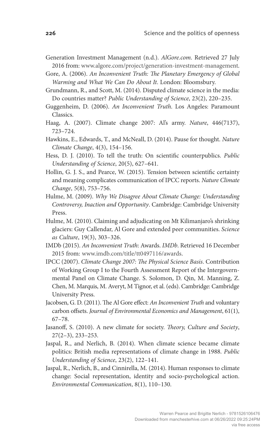- Generation Investment Management (n.d.). *AlGore.com*. Retrieved 27 July 2016 from: www.algore.com/project/generation-investment-management.
- Gore, A. (2006). *An Inconvenient Truth: The Planetary Emergency of Global Warming and What We Can Do About It*. London: Bloomsbury.
- Grundmann, R., and Scott, M. (2014). Disputed climate science in the media: Do countries matter? *Public Understanding of Science*, 23(2), 220–235.
- Guggenheim, D. (2006). *An Inconvenient Truth*. Los Angeles: Paramount Classics.
- Haag, A. (2007). Climate change 2007: Al's army. *Nature*, 446(7137), 723–724.
- Hawkins, E., Edwards, T., and McNeall, D. (2014). Pause for thought. *Nature Climate Change*, 4(3), 154–156.
- Hess, D. J. (2010). To tell the truth: On scientific counterpublics. *Public Understanding of Science*, 20(5), 627–641.
- Hollin, G. J. S., and Pearce, W. (2015). Tension between scientific certainty and meaning complicates communication of IPCC reports. *Nature Climate Change*, 5(8), 753–756.
- Hulme, M. (2009). *Why We Disagree About Climate Change: Understanding Controversy, Inaction and Opportunity*. Cambridge: Cambridge University Press.
- Hulme, M. (2010). Claiming and adjudicating on Mt Kilimanjaro's shrinking glaciers: Guy Callendar, Al Gore and extended peer communities. *Science as Culture*, 19(3), 303–326.
- IMDb (2015). *An Inconvenient Truth*: Awards. *IMDb*. Retrieved 16 December 2015 from: www.imdb.com/title/tt0497116/awards.
- IPCC (2007). *Climate Change 2007: The Physical Science Basis*. Contribution of Working Group I to the Fourth Assessment Report of the Intergovernmental Panel on Climate Change. S. Solomon, D. Qin, M. Manning, Z. Chen, M. Marquis, M. Averyt, M Tignor, et al. (eds). Cambridge: Cambridge University Press.
- Jacobsen, G. D. (2011). The Al Gore effect: *An Inconvenient Truth* and voluntary carbon offsets. *Journal of Environmental Economics and Management*, 61(1), 67–78.
- Jasanoff, S. (2010). A new climate for society. *Theory, Culture and Society*, 27(2–3), 233–253.
- Jaspal, R., and Nerlich, B. (2014). When climate science became climate politics: British media representations of climate change in 1988. *Public Understanding of Science*, 23(2), 122–141.
- Jaspal, R., Nerlich, B., and Cinnirella, M. (2014). Human responses to climate change: Social representation, identity and socio-psychological action. *Environmental Communication*, 8(1), 110–130.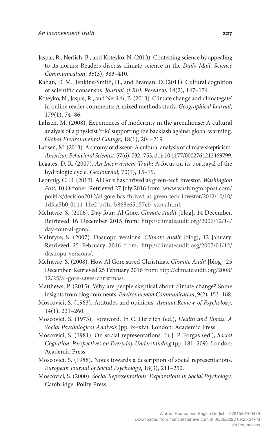- Jaspal, R., Nerlich, B., and Koteyko, N. (2013). Contesting science by appealing to its norms: Readers discuss climate science in the *Daily Mail*. *Science Communication*, 35(3), 383–410.
- Kahan, D. M., Jenkins-Smith, H., and Braman, D. (2011). Cultural cognition of scientific consensus. *Journal of Risk Research*, 14(2), 147–174.
- Koteyko, N., Jaspal, R., and Nerlich, B. (2013). Climate change and 'climategate' in online reader comments: A mixed methods study. *Geographical Journal*, 179(1), 74–86.
- Lahsen, M. (2008). Experiences of modernity in the greenhouse: A cultural analysis of a physicist 'trio' supporting the backlash against global warming. *Global Environmental Change*, 18(1), 204–219.
- Lahsen, M. (2013). Anatomy of dissent: A cultural analysis of climate skepticism. *American Behavioral Scientist*, 57(6), 732–753, doi: 10.1177/0002764212469799.
- Legates, D. R. (2007). *An Inconvenient Truth*: A focus on its portrayal of the hydrologic cycle. *GeoJournal*, 70(1), 15–19.
- Leonnig, C. D. (2012). Al Gore has thrived as green-tech investor. *Washington Post*, 10 October. Retrieved 27 July 2016 from: www.washingtonpost.com/ politics/decision2012/al-gore-has-thrived-as-green-tech-investor/2012/10/10/ 1dfaa5b0-0b11-11e2-bd1a-b868e65d57eb\_story.html.
- McIntyre, S. (2006). Day four: Al Gore. *Climate Audit* [blog], 14 December. Retrieved 16 December 2015 from: http://climateaudit.org/2006/12/14/ day-four-al-gore/.
- McIntyre, S. (2007). Dasuopu versions. *Climate Audit* [blog], 12 January. Retrieved 25 February 2016 from: http://climateaudit.org/2007/01/12/ dasuopu-versions/.
- McIntyre, S. (2008). How Al Gore saved Christmas. *Climate Audit* [blog], 25 December. Retrieved 25 February 2016 from: http://climateaudit.org/2008/ 12/25/al-gore-saves-christmas/.
- Matthews, P. (2015). Why are people skeptical about climate change? Some insights from blog comments. *Environmental Communication*, 9(2), 153–168.
- Moscovici, S. (1963). Attitudes and opinions. *Annual Review of Psychology*, 14(1), 231–260.
- Moscovici, S. (1973). Foreword. In C. Herzlich (ed.), *Health and Illness: A Social Psychological Analysis* (pp. ix–xiv). London: Academic Press.
- Moscovici, S. (1981). On social representations. In J. P. Forgas (ed.), *Social Cognition: Perspectives on Everyday Understanding* (pp. 181–209). London: Academic Press.
- Moscovici, S. (1988). Notes towards a description of social representations. *European Journal of Social Psychology*, 18(3), 211–250.
- Moscovici, S. (2000). *Social Representations: Explorations in Social Psychology*. Cambridge: Polity Press.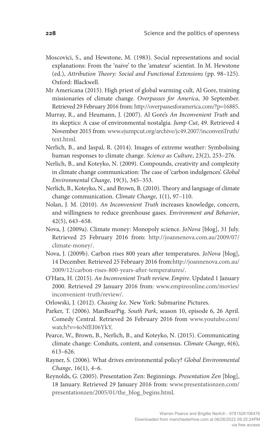- Moscovici, S., and Hewstone, M. (1983). Social representations and social explanations: From the 'naive' to the 'amateur' scientist. In M. Hewstone (ed.), *Attribution Theory: Social and Functional Extensions* (pp. 98–125). Oxford: Blackwell.
- Mr Americana (2015). High priest of global warming cult, Al Gore, training missionaries of climate change. *Overpasses for America*, 30 September. Retrieved 29 February 2016 from: http://overpassesforamerica.com/?p=16885.
- Murray, R., and Heumann, J. (2007). Al Gore's *An Inconvenient Truth* and its skeptics: A case of environmental nostalgia. *Jump Cut*, 49. Retrieved 4 November 2015 from: www.ejumpcut.org/archive/jc49.2007/inconvenTruth/ text.html.
- Nerlich, B., and Jaspal, R. (2014). Images of extreme weather: Symbolising human responses to climate change. *Science as Culture*, 23(2), 253–276.
- Nerlich, B., and Koteyko, N. (2009). Compounds, creativity and complexity in climate change communication: The case of 'carbon indulgences'. *Global Environmental Change*, 19(3), 345–353.
- Nerlich, B., Koteyko, N., and Brown, B. (2010). Theory and language of climate change communication. *Climate Change*, 1(1), 97–110.
- Nolan, J. M. (2010). *An Inconvenient Truth* increases knowledge, concern, and willingness to reduce greenhouse gases. *Environment and Behavior*, 42(5), 643–658.
- Nova, J. (2009a). Climate money: Monopoly science. *JoNova* [blog], 31 July. Retrieved 25 February 2016 from: http://joannenova.com.au/2009/07/ climate-money/.
- Nova, J. (2009b). Carbon rises 800 years after temperatures. *JoNova* [blog], 14 December. Retrieved 25 February 2016 from:http://joannenova.com.au/ 2009/12/carbon-rises-800-years-after-temperatures/.
- O'Hara, H. (2015). *An Inconvenient Truth* review. *Empire*. Updated 1 January 2000. Retrieved 29 January 2016 from: www.empireonline.com/movies/ inconvenient-truth/review/.
- Orlowski, J. (2012). *Chasing Ice*. New York: Submarine Pictures.
- Parker, T. (2006). ManBearPig. *South Park*, season 10, episode 6, 26 April. Comedy Central. Retrieved 26 February 2016 from www.youtube.com/ watch?v=4oNfEI06YkY.
- Pearce, W., Brown, B., Nerlich, B., and Koteyko, N. (2015). Communicating climate change: Conduits, content, and consensus. *Climate Change*, 6(6), 613–626.
- Rayner, S. (2006). What drives environmental policy? *Global Environmental Change*, 16(1), 4–6.
- Reynolds, G. (2005). Presentation Zen: Beginnings. *Presentation Zen* [blog], 18 January. Retrieved 29 January 2016 from: www.presentationzen.com/ presentationzen/2005/01/the\_blog\_begins.html.